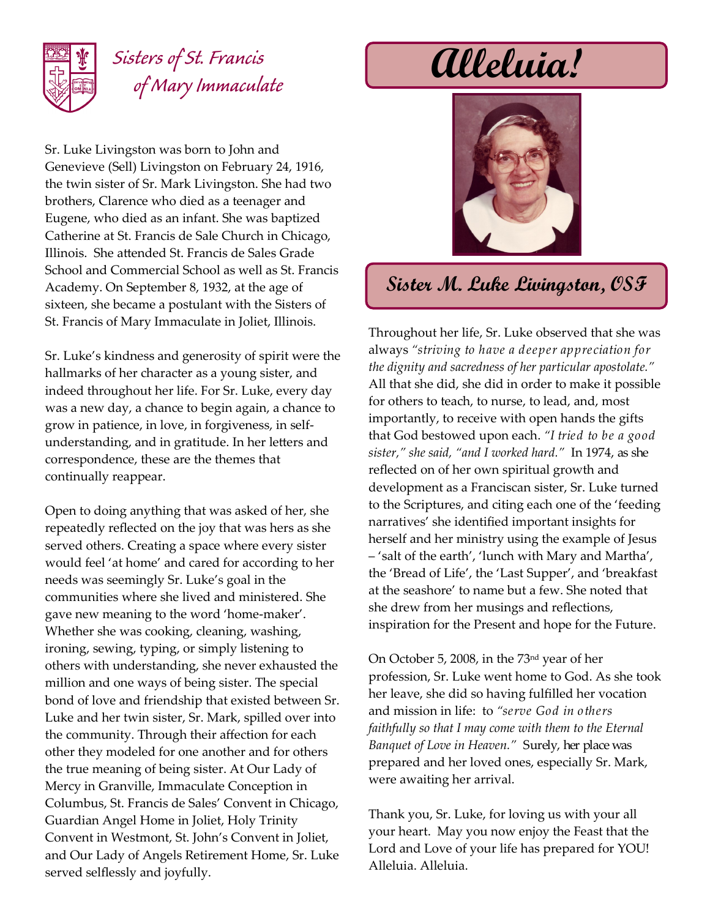

## *Sisters of St. Francis of Mary Immaculate*

Sr. Luke Livingston was born to John and Genevieve (Sell) Livingston on February 24, 1916, the twin sister of Sr. Mark Livingston. She had two brothers, Clarence who died as a teenager and Eugene, who died as an infant. She was baptized Catherine at St. Francis de Sale Church in Chicago, Illinois. She attended St. Francis de Sales Grade School and Commercial School as well as St. Francis Academy. On September 8, 1932, at the age of sixteen, she became a postulant with the Sisters of St. Francis of Mary Immaculate in Joliet, Illinois.

Sr. Luke's kindness and generosity of spirit were the hallmarks of her character as a young sister, and indeed throughout her life. For Sr. Luke, every day was a new day, a chance to begin again, a chance to grow in patience, in love, in forgiveness, in selfunderstanding, and in gratitude. In her letters and correspondence, these are the themes that continually reappear.

Open to doing anything that was asked of her, she repeatedly reflected on the joy that was hers as she served others. Creating a space where every sister would feel 'at home' and cared for according to her needs was seemingly Sr. Luke's goal in the communities where she lived and ministered. She gave new meaning to the word 'home-maker'. Whether she was cooking, cleaning, washing, ironing, sewing, typing, or simply listening to others with understanding, she never exhausted the million and one ways of being sister. The special bond of love and friendship that existed between Sr. Luke and her twin sister, Sr. Mark, spilled over into the community. Through their affection for each other they modeled for one another and for others the true meaning of being sister. At Our Lady of Mercy in Granville, Immaculate Conception in Columbus, St. Francis de Sales' Convent in Chicago, Guardian Angel Home in Joliet, Holy Trinity Convent in Westmont, St. John's Convent in Joliet, and Our Lady of Angels Retirement Home, Sr. Luke served selflessly and joyfully.

**Alleluia!**



## **Sister M. Luke Livingston, OSF**

Throughout her life, Sr. Luke observed that she was always *"striving to have a deeper appreciation for the dignity and sacredness of her particular apostolate."* All that she did, she did in order to make it possible for others to teach, to nurse, to lead, and, most importantly, to receive with open hands the gifts that God bestowed upon each. *"I tried to be a good sister," she said, "and I worked hard."* In 1974, as she reflected on of her own spiritual growth and development as a Franciscan sister, Sr. Luke turned to the Scriptures, and citing each one of the 'feeding narratives' she identified important insights for herself and her ministry using the example of Jesus – 'salt of the earth', 'lunch with Mary and Martha', the 'Bread of Life', the 'Last Supper', and 'breakfast at the seashore' to name but a few. She noted that she drew from her musings and reflections, inspiration for the Present and hope for the Future.

On October 5, 2008, in the 73nd year of her profession, Sr. Luke went home to God. As she took her leave, she did so having fulfilled her vocation and mission in life: to *"serve God in others faithfully so that I may come with them to the Eternal Banquet of Love in Heaven."* Surely, her place was prepared and her loved ones, especially Sr. Mark, were awaiting her arrival.

Thank you, Sr. Luke, for loving us with your all your heart. May you now enjoy the Feast that the Lord and Love of your life has prepared for YOU! Alleluia. Alleluia.